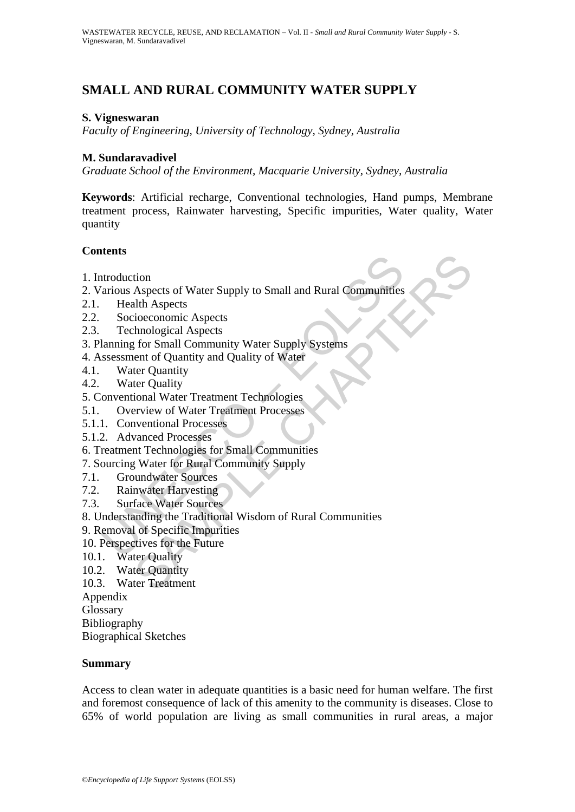# **SMALL AND RURAL COMMUNITY WATER SUPPLY**

#### **S. Vigneswaran**

*Faculty of Engineering, University of Technology, Sydney, Australia* 

#### **M. Sundaravadivel**

*Graduate School of the Environment, Macquarie University, Sydney, Australia* 

**Keywords**: Artificial recharge, Conventional technologies, Hand pumps, Membrane treatment process, Rainwater harvesting, Specific impurities, Water quality, Water quantity

## **Contents**

- 1. Introduction
- According Material and Rural Communities<br>
Iradius Aspects<br>
Secioceconomic Aspects<br>
Secioceconomic Aspects<br>
Technological Aspects<br>
Iranmig for Small Community Water Supply Systems<br>
sesssment of Quantity<br>
Mater Quantity<br>
Wat tion<br>Aspects of Water Supply to Small and Rural Communities<br>Alth Aspects<br>tichcoconomic Aspects<br>thrological Aspects<br>thrological Aspects<br>thrological Aspects<br>to following variables are supply Systems<br>for Ouantity<br>ter Quantity 2. Various Aspects of Water Supply to Small and Rural Communities
- 2.1. Health Aspects
- 2.2. Socioeconomic Aspects
- 2.3. Technological Aspects
- 3. Planning for Small Community Water Supply Systems
- 4. Assessment of Quantity and Quality of Water
- 4.1. Water Quantity
- 4.2. Water Quality
- 5. Conventional Water Treatment Technologies
- 5.1. Overview of Water Treatment Processes
- 5.1.1. Conventional Processes
- 5.1.2. Advanced Processes
- 6. Treatment Technologies for Small Communities
- 7. Sourcing Water for Rural Community Supply
- 7.1. Groundwater Sources
- 7.2. Rainwater Harvesting
- 7.3. Surface Water Sources
- 8. Understanding the Traditional Wisdom of Rural Communities
- 9. Removal of Specific Impurities
- 10. Perspectives for the Future
- 10.1. Water Quality
- 10.2. Water Quantity
- 10.3. Water Treatment

Appendix

Glossary

Bibliography

Biographical Sketches

#### **Summary**

Access to clean water in adequate quantities is a basic need for human welfare. The first and foremost consequence of lack of this amenity to the community is diseases. Close to 65% of world population are living as small communities in rural areas, a major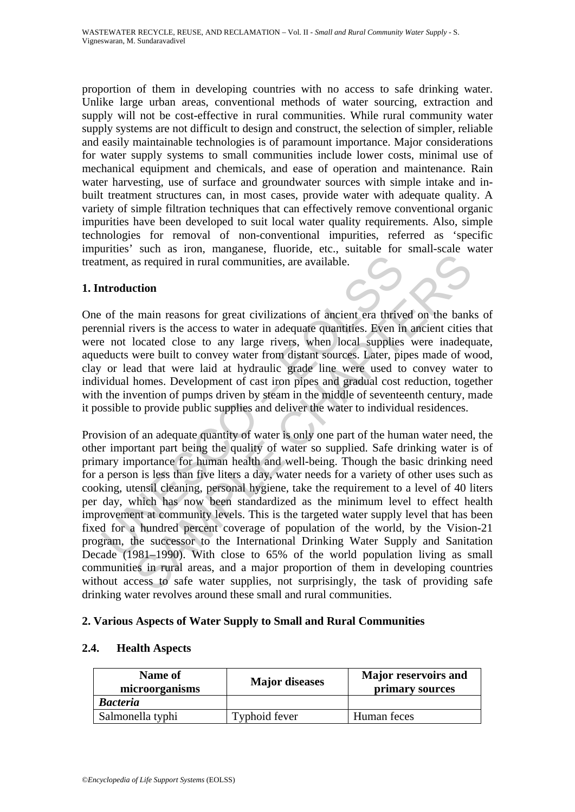proportion of them in developing countries with no access to safe drinking water. Unlike large urban areas, conventional methods of water sourcing, extraction and supply will not be cost-effective in rural communities. While rural community water supply systems are not difficult to design and construct, the selection of simpler, reliable and easily maintainable technologies is of paramount importance. Major considerations for water supply systems to small communities include lower costs, minimal use of mechanical equipment and chemicals, and ease of operation and maintenance. Rain water harvesting, use of surface and groundwater sources with simple intake and inbuilt treatment structures can, in most cases, provide water with adequate quality. A variety of simple filtration techniques that can effectively remove conventional organic impurities have been developed to suit local water quality requirements. Also, simple technologies for removal of non-conventional impurities, referred as 'specific impurities' such as iron, manganese, fluoride, etc., suitable for small-scale water treatment, as required in rural communities, are available.

#### **1. Introduction**

One of the main reasons for great civilizations of ancient era thrived on the banks of perennial rivers is the access to water in adequate quantities. Even in ancient cities that were not located close to any large rivers, when local supplies were inadequate, aqueducts were built to convey water from distant sources. Later, pipes made of wood, clay or lead that were laid at hydraulic grade line were used to convey water to individual homes. Development of cast iron pipes and gradual cost reduction, together with the invention of pumps driven by steam in the middle of seventeenth century, made it possible to provide public supplies and deliver the water to individual residences.

tment, as required in rural communities, are available.<br> **Atroduction**<br>
of the main reasons for great civilizations of ancient era thrive<br>
ornial rivers is the access to water in adequate quantities. Even in<br>
en not locate as required in rural communities, are available.<br> **Communities** are available.<br> **Communities** are available constraint and communities are available.<br> **Constraint and constraint and constraints** are in an ancient cities<br>
l Provision of an adequate quantity of water is only one part of the human water need, the other important part being the quality of water so supplied. Safe drinking water is of primary importance for human health and well-being. Though the basic drinking need for a person is less than five liters a day, water needs for a variety of other uses such as cooking, utensil cleaning, personal hygiene, take the requirement to a level of 40 liters per day, which has now been standardized as the minimum level to effect health improvement at community levels. This is the targeted water supply level that has been fixed for a hundred percent coverage of population of the world, by the Vision-21 program, the successor to the International Drinking Water Supply and Sanitation Decade (1981–1990). With close to 65% of the world population living as small communities in rural areas, and a major proportion of them in developing countries without access to safe water supplies, not surprisingly, the task of providing safe drinking water revolves around these small and rural communities.

## **2. Various Aspects of Water Supply to Small and Rural Communities**

# **2.4. Health Aspects**

| Name of<br>microorganisms | <b>Major</b> diseases | <b>Major reservoirs and</b><br>primary sources |  |
|---------------------------|-----------------------|------------------------------------------------|--|
| <b>Bacteria</b>           |                       |                                                |  |
| Salmonella typhi          | Typhoid fever         | Human feces                                    |  |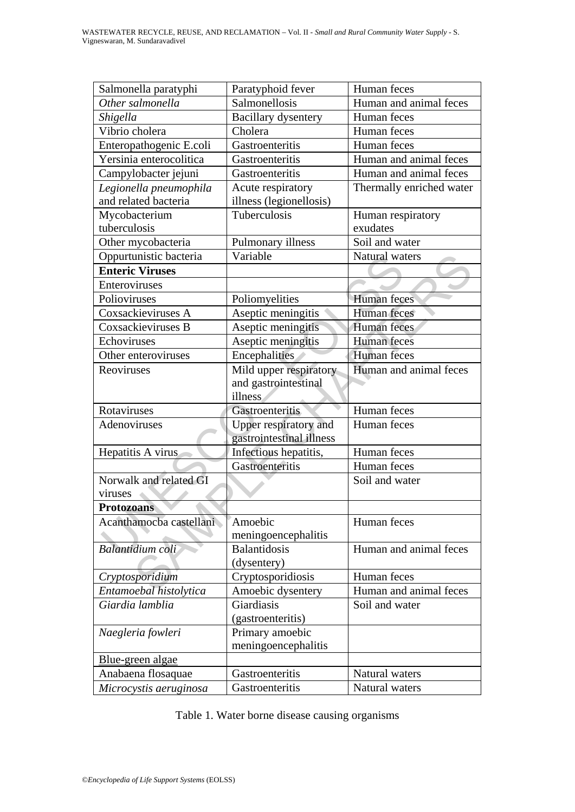| Salmonella paratyphi    | Paratyphoid fever                             | Human feces            |  |
|-------------------------|-----------------------------------------------|------------------------|--|
| Other salmonella        | Salmonellosis                                 | Human and animal feces |  |
| Shigella                | <b>Bacillary dysentery</b>                    | Human feces            |  |
| Vibrio cholera          | Cholera                                       | Human feces            |  |
| Enteropathogenic E.coli | Gastroenteritis                               | Human feces            |  |
| Yersinia enterocolitica | Gastroenteritis                               | Human and animal feces |  |
| Campylobacter jejuni    | Human and animal feces<br>Gastroenteritis     |                        |  |
| Legionella pneumophila  | Acute respiratory<br>Thermally enriched water |                        |  |
| and related bacteria    | illness (legionellosis)                       |                        |  |
| Mycobacterium           | Tuberculosis                                  | Human respiratory      |  |
| tuberculosis            | exudates                                      |                        |  |
| Other mycobacteria      | Pulmonary illness                             | Soil and water         |  |
| Oppurtunistic bacteria  | Variable                                      | Natural waters         |  |
| <b>Enteric Viruses</b>  |                                               |                        |  |
| Enteroviruses           |                                               |                        |  |
| Polioviruses            | Poliomyelities                                | Human feces            |  |
| Coxsackieviruses A      | Aseptic meningitis                            | <b>Human</b> feces     |  |
| Coxsackieviruses B      | Aseptic meningitis                            | <b>Human</b> feces     |  |
| Echoviruses             | Aseptic meningitis                            | <b>Human</b> feces     |  |
| Other enteroviruses     | Encephalities                                 | Human feces            |  |
| Reoviruses              | Mild upper respiratory                        | Human and animal feces |  |
|                         | and gastrointestinal                          |                        |  |
|                         | illness                                       |                        |  |
| Rotaviruses             | Gastroenteritis                               | Human feces            |  |
| Adenoviruses            | Upper respiratory and<br>Human feces          |                        |  |
|                         | gastrointestinal illness                      |                        |  |
| Hepatitis A virus       | Infectious hepatitis,                         | Human feces            |  |
|                         | Gastroenteritis                               | Human feces            |  |
| Norwalk and related GI  |                                               | Soil and water         |  |
| viruses                 |                                               |                        |  |
| <b>Protozoans</b>       |                                               |                        |  |
| Acanthamocba castellani | Amoebic                                       | Human feces            |  |
|                         | meningoencephalitis                           |                        |  |
| Balantidium coli        |                                               |                        |  |
|                         | Balantidosis                                  | Human and animal feces |  |
|                         | (dysentery)                                   |                        |  |
| Cryptosporidium         |                                               | Human feces            |  |
| Entamoebal histolytica  | Cryptosporidiosis<br>Amoebic dysentery        | Human and animal feces |  |
| Giardia lamblia         | Giardiasis                                    | Soil and water         |  |
|                         | (gastroenteritis)                             |                        |  |
| Naegleria fowleri       | Primary amoebic                               |                        |  |
|                         | meningoencephalitis                           |                        |  |
| Blue-green algae        |                                               |                        |  |
| Anabaena flosaquae      | Gastroenteritis                               | Natural waters         |  |

|  |  | Table 1. Water borne disease causing organisms |
|--|--|------------------------------------------------|
|  |  |                                                |
|  |  |                                                |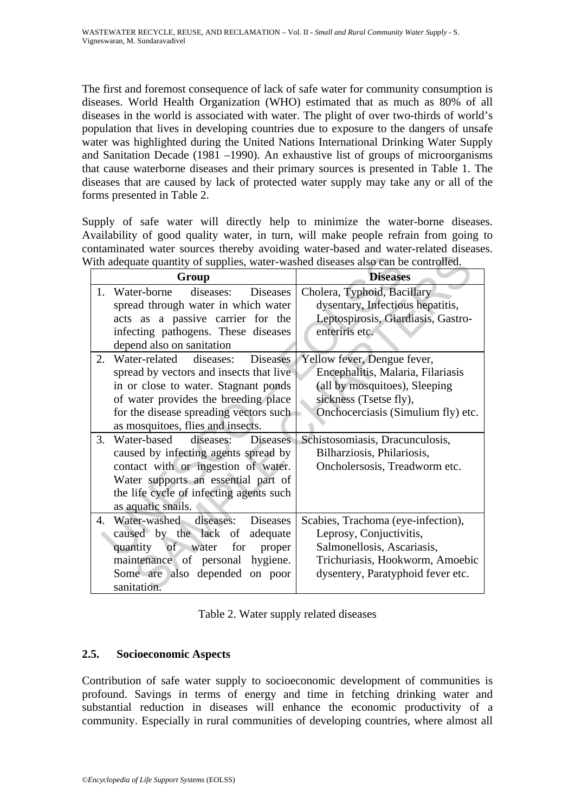The first and foremost consequence of lack of safe water for community consumption is diseases. World Health Organization (WHO) estimated that as much as 80% of all diseases in the world is associated with water. The plight of over two-thirds of world's population that lives in developing countries due to exposure to the dangers of unsafe water was highlighted during the United Nations International Drinking Water Supply and Sanitation Decade (1981 –1990). An exhaustive list of groups of microorganisms that cause waterborne diseases and their primary sources is presented in Table 1. The diseases that are caused by lack of protected water supply may take any or all of the forms presented in Table 2.

Supply of safe water will directly help to minimize the water-borne diseases. Availability of good quality water, in turn, will make people refrain from going to contaminated water sources thereby avoiding water-based and water-related diseases. With adequate quantity of supplies, water-washed diseases also can be controlled.

| Vith adequate quantity of supplies, water-washed diseases also can be controlled. |                                             |                                    |  |  |
|-----------------------------------------------------------------------------------|---------------------------------------------|------------------------------------|--|--|
|                                                                                   | Group                                       | <b>Diseases</b>                    |  |  |
| 1.                                                                                | diseases:<br>Water-borne<br><b>Diseases</b> | Cholera, Typhoid, Bacillary        |  |  |
|                                                                                   | spread through water in which water         | dysentary, Infectious hepatitis,   |  |  |
|                                                                                   | acts as a passive carrier for the           | Leptospirosis, Giardiasis, Gastro- |  |  |
|                                                                                   | infecting pathogens. These diseases         | enteriris etc.                     |  |  |
|                                                                                   | depend also on sanitation                   |                                    |  |  |
| 2.                                                                                | Water-related diseases:<br>Diseases         | Yellow fever, Dengue fever,        |  |  |
|                                                                                   | spread by vectors and insects that live     | Encephalitis, Malaria, Filariasis  |  |  |
|                                                                                   | in or close to water. Stagnant ponds        | (all by mosquitoes), Sleeping      |  |  |
|                                                                                   | of water provides the breeding place        | sickness (Tsetse fly),             |  |  |
|                                                                                   | for the disease spreading vectors such      | Onchocerciasis (Simulium fly) etc. |  |  |
|                                                                                   | as mosquitoes, flies and insects.           |                                    |  |  |
| 3.                                                                                | Water-based diseases:<br><b>Diseases</b>    | Schistosomiasis, Dracunculosis,    |  |  |
|                                                                                   | caused by infecting agents spread by        | Bilharziosis, Philariosis,         |  |  |
|                                                                                   | contact with or ingestion of water.         | Oncholersosis, Treadworm etc.      |  |  |
|                                                                                   | Water supports an essential part of         |                                    |  |  |
|                                                                                   | the life cycle of infecting agents such     |                                    |  |  |
|                                                                                   | as aquatic snails.                          |                                    |  |  |
| $\mathbf{4}$ .                                                                    | Water-washed diseases:<br><b>Diseases</b>   | Scabies, Trachoma (eye-infection), |  |  |
|                                                                                   | caused by the lack of adequate              | Leprosy, Conjuctivitis,            |  |  |
|                                                                                   | quantity of water for<br>proper             | Salmonellosis, Ascariasis,         |  |  |
|                                                                                   | maintenance of personal hygiene.            | Trichuriasis, Hookworm, Amoebic    |  |  |
|                                                                                   | Some are also depended on poor              | dysentery, Paratyphoid fever etc.  |  |  |
|                                                                                   | sanitation.                                 |                                    |  |  |

## **2.5. Socioeconomic Aspects**

Contribution of safe water supply to socioeconomic development of communities is profound. Savings in terms of energy and time in fetching drinking water and substantial reduction in diseases will enhance the economic productivity of a community. Especially in rural communities of developing countries, where almost all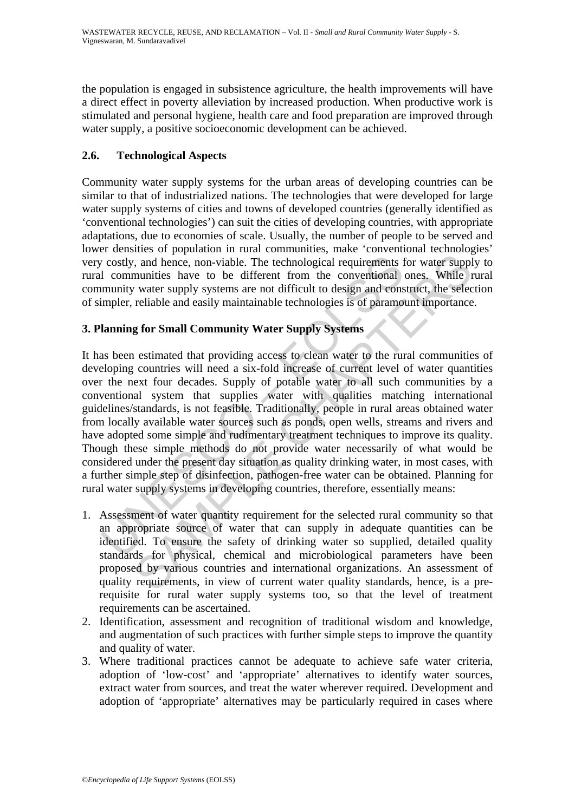the population is engaged in subsistence agriculture, the health improvements will have a direct effect in poverty alleviation by increased production. When productive work is stimulated and personal hygiene, health care and food preparation are improved through water supply, a positive socioeconomic development can be achieved.

# **2.6. Technological Aspects**

Community water supply systems for the urban areas of developing countries can be similar to that of industrialized nations. The technologies that were developed for large water supply systems of cities and towns of developed countries (generally identified as 'conventional technologies') can suit the cities of developing countries, with appropriate adaptations, due to economies of scale. Usually, the number of people to be served and lower densities of population in rural communities, make 'conventional technologies' very costly, and hence, non-viable. The technological requirements for water supply to rural communities have to be different from the conventional ones. While rural community water supply systems are not difficult to design and construct, the selection of simpler, reliable and easily maintainable technologies is of paramount importance.

# **3. Planning for Small Community Water Supply Systems**

v costly, and hence, non-viable. The technological requirements 1<br>
1 communities have to be different from the conventional<br>
imumity water supply systems are not difficult to design and cons<br>
impler, reliable and easily ma meant of water summative transmission and the selected transmission of the equivements for water supply munities have to be different from the conventional ones. While r water supply systems are not difficult to design and It has been estimated that providing access to clean water to the rural communities of developing countries will need a six-fold increase of current level of water quantities over the next four decades. Supply of potable water to all such communities by a conventional system that supplies water with qualities matching international guidelines/standards, is not feasible. Traditionally, people in rural areas obtained water from locally available water sources such as ponds, open wells, streams and rivers and have adopted some simple and rudimentary treatment techniques to improve its quality. Though these simple methods do not provide water necessarily of what would be considered under the present day situation as quality drinking water, in most cases, with a further simple step of disinfection, pathogen-free water can be obtained. Planning for rural water supply systems in developing countries, therefore, essentially means:

- 1. Assessment of water quantity requirement for the selected rural community so that an appropriate source of water that can supply in adequate quantities can be identified. To ensure the safety of drinking water so supplied, detailed quality standards for physical, chemical and microbiological parameters have been proposed by various countries and international organizations. An assessment of quality requirements, in view of current water quality standards, hence, is a prerequisite for rural water supply systems too, so that the level of treatment requirements can be ascertained.
- 2. Identification, assessment and recognition of traditional wisdom and knowledge, and augmentation of such practices with further simple steps to improve the quantity and quality of water.
- 3. Where traditional practices cannot be adequate to achieve safe water criteria, adoption of 'low-cost' and 'appropriate' alternatives to identify water sources, extract water from sources, and treat the water wherever required. Development and adoption of 'appropriate' alternatives may be particularly required in cases where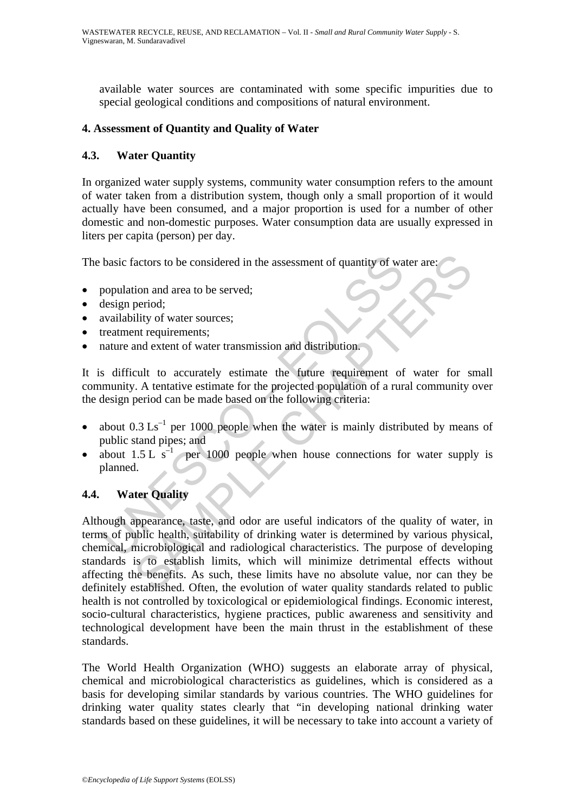available water sources are contaminated with some specific impurities due to special geological conditions and compositions of natural environment.

#### **4. Assessment of Quantity and Quality of Water**

## **4.3. Water Quantity**

In organized water supply systems, community water consumption refers to the amount of water taken from a distribution system, though only a small proportion of it would actually have been consumed, and a major proportion is used for a number of other domestic and non-domestic purposes. Water consumption data are usually expressed in liters per capita (person) per day.

The basic factors to be considered in the assessment of quantity of water are:

- population and area to be served;
- design period:
- availability of water sources;
- treatment requirements;
- nature and extent of water transmission and distribution.

It is difficult to accurately estimate the future requirement of water for small community. A tentative estimate for the projected population of a rural community over the design period can be made based on the following criteria:

- about  $0.3 \text{ Ls}^{-1}$  per 1000 people when the water is mainly distributed by means of public stand pipes; and
- about  $1.5 \text{ L s}^{-1}$  per 1000 people when house connections for water supply is planned.

## **4.4. Water Quality**

basic factors to be considered in the assessment of quantity of wa<br>population and area to be served;<br>design period;<br>availability of water sources;<br>treatment requirements;<br>stature and extent of water transmission and distr actors to be considered in the assessment of quantity of water are:<br>
ion and area to be served;<br>
period;<br>
period;<br>
ility of water sources;<br>
int requirements;<br>
and extent of water transmission and distribution.<br>
CHAPTER CH Although appearance, taste, and odor are useful indicators of the quality of water, in terms of public health, suitability of drinking water is determined by various physical, chemical, microbiological and radiological characteristics. The purpose of developing standards is to establish limits, which will minimize detrimental effects without affecting the benefits. As such, these limits have no absolute value, nor can they be definitely established. Often, the evolution of water quality standards related to public health is not controlled by toxicological or epidemiological findings. Economic interest, socio-cultural characteristics, hygiene practices, public awareness and sensitivity and technological development have been the main thrust in the establishment of these standards.

The World Health Organization (WHO) suggests an elaborate array of physical, chemical and microbiological characteristics as guidelines, which is considered as a basis for developing similar standards by various countries. The WHO guidelines for drinking water quality states clearly that "in developing national drinking water standards based on these guidelines, it will be necessary to take into account a variety of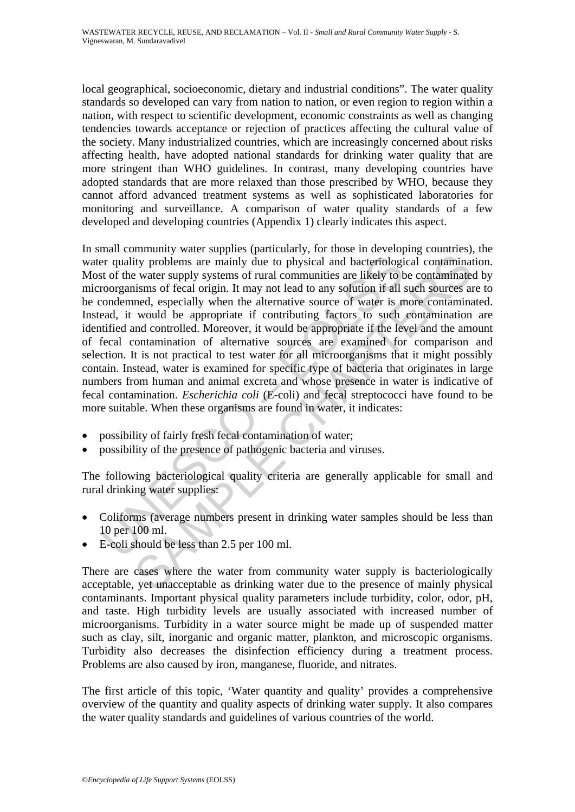local geographical, socioeconomic, dietary and industrial conditions". The water quality standards so developed can vary from nation to nation, or even region to region within a nation, with respect to scientific development, economic constraints as well as changing tendencies towards acceptance or rejection of practices affecting the cultural value of the society. Many industrialized countries, which are increasingly concerned about risks affecting health, have adopted national standards for drinking water quality that are more stringent than WHO guidelines. In contrast, many developing countries have adopted standards that are more relaxed than those prescribed by WHO, because they cannot afford advanced treatment systems as well as sophisticated laboratories for monitoring and surveillance. A comparison of water quality standards of a few developed and developing countries (Appendix 1) clearly indicates this aspect.

er quality problems are mainly due to physical and bacteriological of the water supply systems of rural communities are likely to troorganisms of fecal origin. It may not lead to any solution if all is condemned, especial ity problems are mainly due to physical and bacteriological contaminate water supply systems of rural communities are likely to be contaminate water supply systems of rural communities are likely to be contaminate is more In small community water supplies (particularly, for those in developing countries), the water quality problems are mainly due to physical and bacteriological contamination. Most of the water supply systems of rural communities are likely to be contaminated by microorganisms of fecal origin. It may not lead to any solution if all such sources are to be condemned, especially when the alternative source of water is more contaminated. Instead, it would be appropriate if contributing factors to such contamination are identified and controlled. Moreover, it would be appropriate if the level and the amount of fecal contamination of alternative sources are examined for comparison and selection. It is not practical to test water for all microorganisms that it might possibly contain. Instead, water is examined for specific type of bacteria that originates in large numbers from human and animal excreta and whose presence in water is indicative of fecal contamination. *Escherichia coli* (E-coli) and fecal streptococci have found to be more suitable. When these organisms are found in water, it indicates:

- possibility of fairly fresh fecal contamination of water;
- possibility of the presence of pathogenic bacteria and viruses.

The following bacteriological quality criteria are generally applicable for small and rural drinking water supplies:

- Coliforms (average numbers present in drinking water samples should be less than 10 per 100 ml.
- E-coli should be less than 2.5 per 100 ml.

There are cases where the water from community water supply is bacteriologically acceptable, yet unacceptable as drinking water due to the presence of mainly physical contaminants. Important physical quality parameters include turbidity, color, odor, pH, and taste. High turbidity levels are usually associated with increased number of microorganisms. Turbidity in a water source might be made up of suspended matter such as clay, silt, inorganic and organic matter, plankton, and microscopic organisms. Turbidity also decreases the disinfection efficiency during a treatment process. Problems are also caused by iron, manganese, fluoride, and nitrates.

The first article of this topic, 'Water quantity and quality' provides a comprehensive overview of the quantity and quality aspects of drinking water supply. It also compares the water quality standards and guidelines of various countries of the world.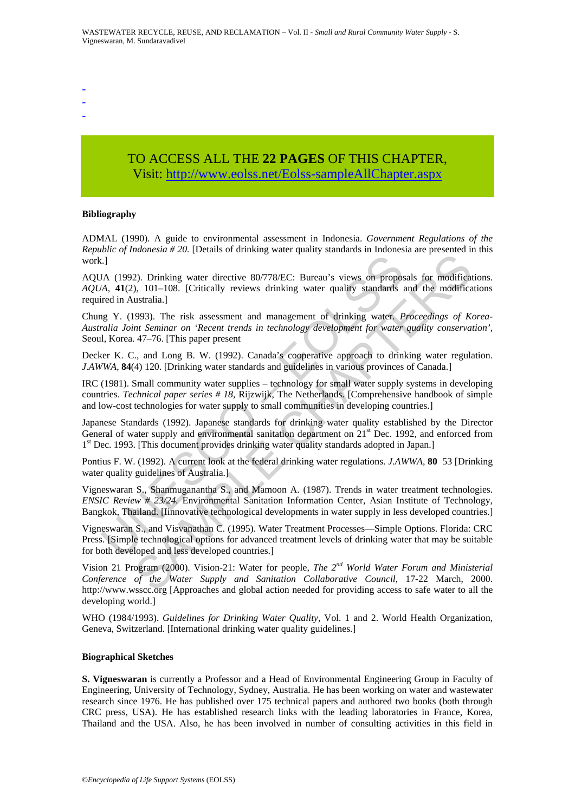- -
- -
- -

# TO ACCESS ALL THE **22 PAGES** OF THIS CHAPTER, Visit: [http://www.eolss.net/Eolss-sampleAllChapter.aspx](https://www.eolss.net/ebooklib/sc_cart.aspx?File=E2-14-03-00)

#### **Bibliography**

ADMAL (1990). A guide to environmental assessment in Indonesia. *Government Regulations of the Republic of Indonesia # 20.* [Details of drinking water quality standards in Indonesia are presented in this work.]

E.]<br>
AA (1992). Drinking water directive 80/778/EC: Bureau's views on propos<br>
AA 41(2), 101–108. [Critically reviews drinking water quality standards is<br>
ried in Australia.]<br>
ag Y. (1993). The risk assessment and manageme 22). Drinking water directive 80/778/EC: Bureau's views on proposals for modificat<br>
22). Drinking water directive 80/778/EC: Bureau's views on proposals for modificat<br>
1.108. [Critically reviews drinking water quality sta AQUA (1992). Drinking water directive 80/778/EC: Bureau's views on proposals for modifications. *AQUA*, **41**(2), 101–108. [Critically reviews drinking water quality standards and the modifications required in Australia.]

Chung Y. (1993). The risk assessment and management of drinking water. *Proceedings of Korea-Australia Joint Seminar on 'Recent trends in technology development for water quality conservation',*  Seoul, Korea. 47–76. [This paper present

Decker K. C., and Long B. W. (1992). Canada's cooperative approach to drinking water regulation. *J.AWWA,* **84**(4) 120. [Drinking water standards and guidelines in various provinces of Canada.]

IRC (1981). Small community water supplies – technology for small water supply systems in developing countries. *Technical paper series # 18,* Rijzwijk, The Netherlands. [Comprehensive handbook of simple and low-cost technologies for water supply to small communities in developing countries.]

Japanese Standards (1992). Japanese standards for drinking water quality established by the Director General of water supply and environmental sanitation department on 21<sup>st</sup> Dec. 1992, and enforced from 1<sup>st</sup> Dec. 1993. [This document provides drinking water quality standards adopted in Japan.]

Pontius F. W. (1992). A current look at the federal drinking water regulations. *J.AWWA*, **80** 53 [Drinking water quality guidelines of Australia.]

Vigneswaran S., Shanmuganantha S., and Mamoon A. (1987). Trends in water treatment technologies. *ENSIC Review # 23/24.* Environmental Sanitation Information Center, Asian Institute of Technology, Bangkok, Thailand. [Iinnovative technological developments in water supply in less developed countries.]

Vigneswaran S., and Visvanathan C. (1995). Water Treatment Processes—Simple Options. Florida: CRC Press. [Simple technological options for advanced treatment levels of drinking water that may be suitable for both developed and less developed countries.]

Vision 21 Program (2000). Vision-21: Water for people, *The 2nd World Water Forum and Ministerial Conference of the Water Supply and Sanitation Collaborative Council,* 17-22 March, 2000. http://www.wsscc.org [Approaches and global action needed for providing access to safe water to all the developing world.]

WHO (1984/1993). *Guidelines for Drinking Water Quality,* Vol. 1 and 2. World Health Organization, Geneva, Switzerland. [International drinking water quality guidelines.]

#### **Biographical Sketches**

**S. Vigneswaran** is currently a Professor and a Head of Environmental Engineering Group in Faculty of Engineering, University of Technology, Sydney, Australia. He has been working on water and wastewater research since 1976. He has published over 175 technical papers and authored two books (both through CRC press, USA). He has established research links with the leading laboratories in France, Korea, Thailand and the USA. Also, he has been involved in number of consulting activities in this field in